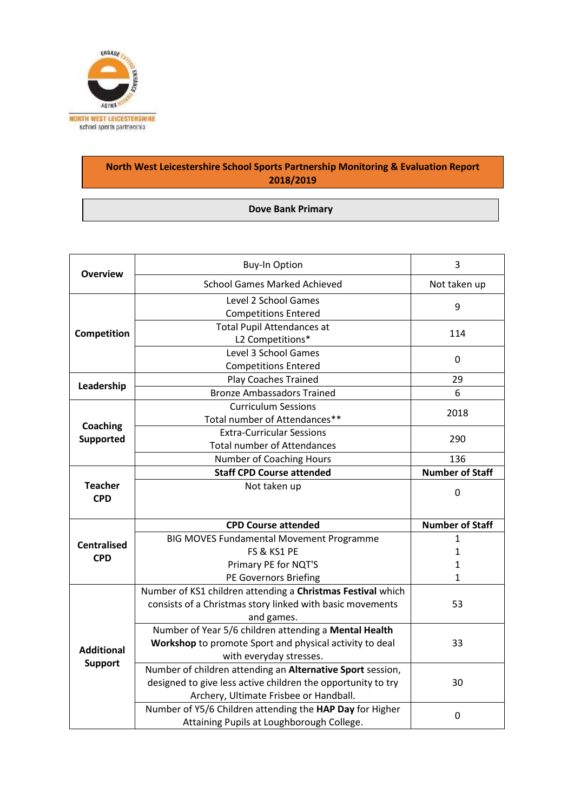

## **North West Leicestershire School Sports Partnership Monitoring & Evaluation Report 2018/2019**

## **Dove Bank Primary**

| <b>Overview</b>              | <b>Buy-In Option</b>                                                                                                                                                 | 3                      |
|------------------------------|----------------------------------------------------------------------------------------------------------------------------------------------------------------------|------------------------|
|                              | <b>School Games Marked Achieved</b>                                                                                                                                  | Not taken up           |
| Competition                  | Level 2 School Games<br><b>Competitions Entered</b>                                                                                                                  | 9                      |
|                              | <b>Total Pupil Attendances at</b><br>L2 Competitions*                                                                                                                | 114                    |
|                              | Level 3 School Games<br><b>Competitions Entered</b>                                                                                                                  | 0                      |
| Leadership                   | <b>Play Coaches Trained</b>                                                                                                                                          | 29                     |
|                              | <b>Bronze Ambassadors Trained</b>                                                                                                                                    | 6                      |
| Coaching<br><b>Supported</b> | <b>Curriculum Sessions</b><br>Total number of Attendances**                                                                                                          | 2018                   |
|                              | <b>Extra-Curricular Sessions</b><br><b>Total number of Attendances</b>                                                                                               | 290                    |
|                              | Number of Coaching Hours                                                                                                                                             | 136                    |
|                              | <b>Staff CPD Course attended</b>                                                                                                                                     | <b>Number of Staff</b> |
| <b>Teacher</b><br><b>CPD</b> | Not taken up                                                                                                                                                         |                        |
|                              |                                                                                                                                                                      | 0                      |
|                              | <b>CPD Course attended</b>                                                                                                                                           | <b>Number of Staff</b> |
|                              | <b>BIG MOVES Fundamental Movement Programme</b>                                                                                                                      | $\mathbf{1}$           |
| <b>Centralised</b>           | FS & KS1 PE                                                                                                                                                          | 1                      |
| <b>CPD</b>                   | Primary PE for NQT'S                                                                                                                                                 | $\mathbf{1}$           |
|                              | PE Governors Briefing                                                                                                                                                | 1                      |
|                              | Number of KS1 children attending a Christmas Festival which<br>consists of a Christmas story linked with basic movements<br>and games.                               | 53                     |
| <b>Additional</b>            | Number of Year 5/6 children attending a Mental Health<br>Workshop to promote Sport and physical activity to deal<br>with everyday stresses.                          | 33                     |
| <b>Support</b>               | Number of children attending an Alternative Sport session,<br>designed to give less active children the opportunity to try<br>Archery, Ultimate Frisbee or Handball. | 30                     |